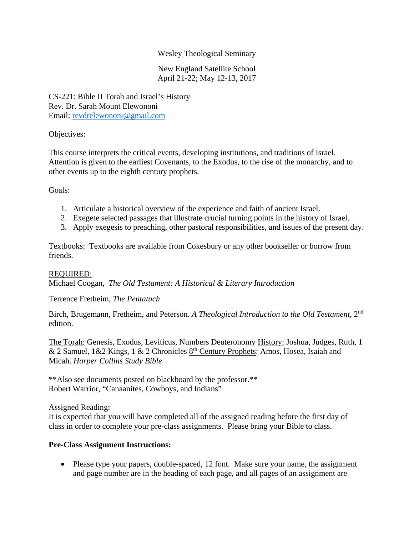## Wesley Theological Seminary

New England Satellite School April 21-22; May 12-13, 2017

CS-221: Bible II Torah and Israel's History Rev. Dr. Sarah Mount Elewononi Email: revdrelewononi@gmail.com

#### Objectives:

This course interprets the critical events, developing institutions, and traditions of Israel. Attention is given to the earliest Covenants, to the Exodus, to the rise of the monarchy, and to other events up to the eighth century prophets.

#### Goals:

- 1. Articulate a historical overview of the experience and faith of ancient Israel.
- 2. Exegete selected passages that illustrate crucial turning points in the history of Israel.
- 3. Apply exegesis to preaching, other pastoral responsibilities, and issues of the present day.

Textbooks: Textbooks are available from Cokesbury or any other bookseller or borrow from friends.

#### REQUIRED:

Michael Coogan, *The Old Testament: A Historical & Literary Introduction* 

Terrence Fretheim, *The Pentatuch*

Birch, Brugemann, Fretheim, and Peterson. *A Theological Introduction to the Old Testament*, 2nd edition.

The Torah: Genesis, Exodus, Leviticus, Numbers Deuteronomy History: Joshua, Judges, Ruth, 1 & 2 Samuel,  $1 \& 2$  Kings,  $1 \& 2$  Chronicles  $8<sup>th</sup>$  Century Prophets: Amos, Hosea, Isaiah and Micah. *Harper Collins Study Bible*

\*\*Also see documents posted on blackboard by the professor.\*\* Robert Warrior, "Canaanites, Cowboys, and Indians"

#### Assigned Reading:

It is expected that you will have completed all of the assigned reading before the first day of class in order to complete your pre-class assignments. Please bring your Bible to class.

#### **Pre-Class Assignment Instructions:**

• Please type your papers, double-spaced, 12 font. Make sure your name, the assignment and page number are in the heading of each page, and all pages of an assignment are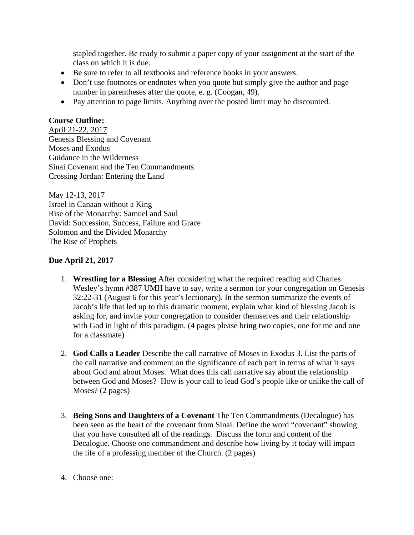stapled together. Be ready to submit a paper copy of your assignment at the start of the class on which it is due.

- Be sure to refer to all textbooks and reference books in your answers.
- Don't use footnotes or endnotes when you quote but simply give the author and page number in parentheses after the quote, e. g. (Coogan, 49).
- Pay attention to page limits. Anything over the posted limit may be discounted.

# **Course Outline:**

April 21-22, 2017 Genesis Blessing and Covenant Moses and Exodus Guidance in the Wilderness Sinai Covenant and the Ten Commandments Crossing Jordan: Entering the Land

May 12-13, 2017 Israel in Canaan without a King Rise of the Monarchy: Samuel and Saul David: Succession, Success, Failure and Grace Solomon and the Divided Monarchy The Rise of Prophets

## **Due April 21, 2017**

- 1. **Wrestling for a Blessing** After considering what the required reading and Charles Wesley's hymn #387 UMH have to say, write a sermon for your congregation on Genesis 32:22-31 (August 6 for this year's lectionary). In the sermon summarize the events of Jacob's life that led up to this dramatic moment, explain what kind of blessing Jacob is asking for, and invite your congregation to consider themselves and their relationship with God in light of this paradigm. (4 pages please bring two copies, one for me and one for a classmate)
- 2. **God Calls a Leader** Describe the call narrative of Moses in Exodus 3. List the parts of the call narrative and comment on the significance of each part in terms of what it says about God and about Moses. What does this call narrative say about the relationship between God and Moses? How is your call to lead God's people like or unlike the call of Moses? (2 pages)
- 3. **Being Sons and Daughters of a Covenant** The Ten Commandments (Decalogue) has been seen as the heart of the covenant from Sinai. Define the word "covenant" showing that you have consulted all of the readings. Discuss the form and content of the Decalogue. Choose one commandment and describe how living by it today will impact the life of a professing member of the Church. (2 pages)
- 4. Choose one: